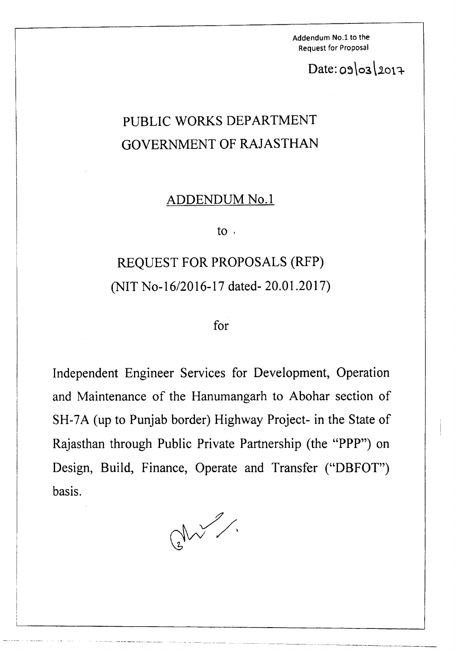Addendum No.1 to the Request for Proposal

 $Date: 09 03 2017$ 

## PUBLIC WORKS DEPARTMENT GOVERNMENT OF RAJASTHAN

## ADDENDUM No.1

to '

## REQUEST FOR PROPOSALS (RFP) (NIT No-16/2016-17 dated- 20.01.2017)

for

Independent Engineer Services for Development, Operation and Maintenance of the Hanumangarh to Abohar section of SH-7A (up to Punjab border) Highway Project- in the State of Rajasthan through Public Private Partnership (the "PPP") on Design, Build, Finance, Operate and Transfer ("DBFOT") basis.

 $Q$